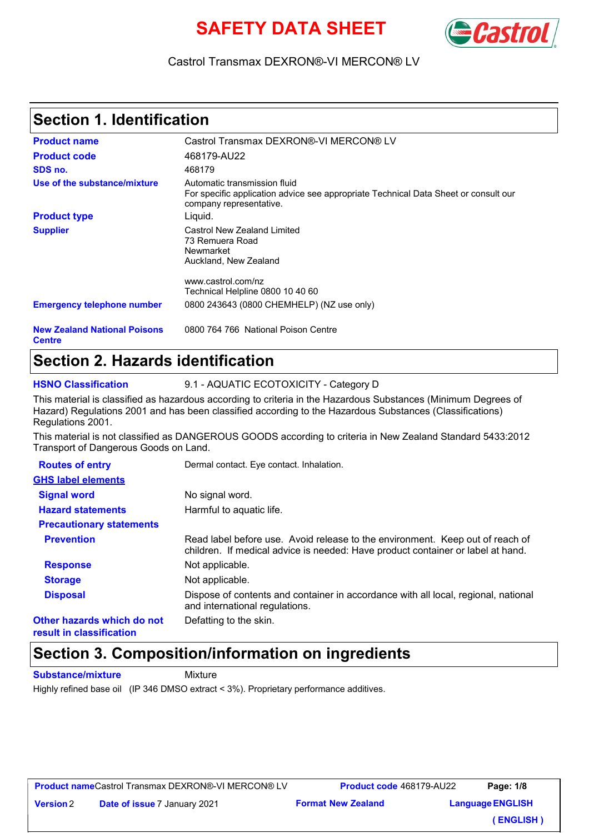# **SAFETY DATA SHEET**



#### Castrol Transmax DEXRON®-VI MERCON® LV

#### **Section 1. Identification**

| <b>Product name</b>                                  | Castrol Transmax DEXRON®-VI MERCON® LV                                                                                                         |
|------------------------------------------------------|------------------------------------------------------------------------------------------------------------------------------------------------|
| <b>Product code</b>                                  | 468179-AU22                                                                                                                                    |
| SDS no.                                              | 468179                                                                                                                                         |
| Use of the substance/mixture                         | Automatic transmission fluid<br>For specific application advice see appropriate Technical Data Sheet or consult our<br>company representative. |
| <b>Product type</b>                                  | Liguid.                                                                                                                                        |
| <b>Supplier</b>                                      | Castrol New Zealand Limited<br>73 Remuera Road<br>Newmarket<br>Auckland, New Zealand                                                           |
|                                                      | www.castrol.com/nz<br>Technical Helpline 0800 10 40 60                                                                                         |
| <b>Emergency telephone number</b>                    | 0800 243643 (0800 CHEMHELP) (NZ use only)                                                                                                      |
| <b>New Zealand National Poisons</b><br><b>Centre</b> | 0800 764 766 National Poison Centre                                                                                                            |

#### **Section 2. Hazards identification**

**HSNO Classification** 9.1 - AQUATIC ECOTOXICITY - Category D

This material is classified as hazardous according to criteria in the Hazardous Substances (Minimum Degrees of Hazard) Regulations 2001 and has been classified according to the Hazardous Substances (Classifications) Regulations 2001.

This material is not classified as DANGEROUS GOODS according to criteria in New Zealand Standard 5433:2012 Transport of Dangerous Goods on Land.

| <b>Routes of entry</b>                                 | Dermal contact. Eye contact. Inhalation.                                                                                                                         |
|--------------------------------------------------------|------------------------------------------------------------------------------------------------------------------------------------------------------------------|
| <b>GHS label elements</b>                              |                                                                                                                                                                  |
| <b>Signal word</b>                                     | No signal word.                                                                                                                                                  |
| <b>Hazard statements</b>                               | Harmful to aquatic life.                                                                                                                                         |
| <b>Precautionary statements</b>                        |                                                                                                                                                                  |
| <b>Prevention</b>                                      | Read label before use. Avoid release to the environment. Keep out of reach of<br>children. If medical advice is needed: Have product container or label at hand. |
| <b>Response</b>                                        | Not applicable.                                                                                                                                                  |
| <b>Storage</b>                                         | Not applicable.                                                                                                                                                  |
| <b>Disposal</b>                                        | Dispose of contents and container in accordance with all local, regional, national<br>and international regulations.                                             |
| Other hazards which do not<br>result in classification | Defatting to the skin.                                                                                                                                           |

#### **Section 3. Composition/information on ingredients**

**Substance/mixture** Mixture

Highly refined base oil (IP 346 DMSO extract < 3%). Proprietary performance additives.

| <b>Product name</b> Castrol Transmax DEXRON®-VI MERCON® LV |  |
|------------------------------------------------------------|--|
|------------------------------------------------------------|--|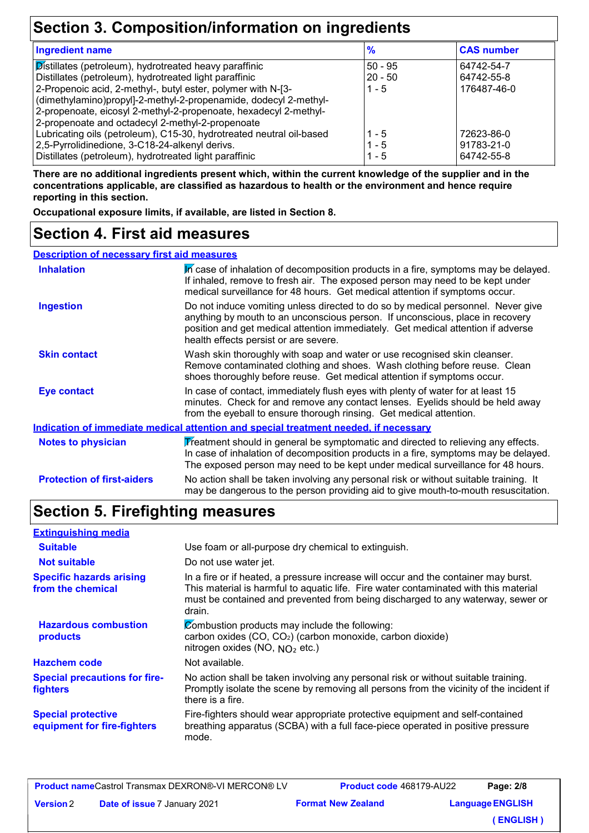## **Section 3. Composition/information on ingredients**

| <b>Ingredient name</b>                                                                                                                                                                                                                                                                                                                                                       | $\frac{9}{6}$                   | <b>CAS number</b>                       |
|------------------------------------------------------------------------------------------------------------------------------------------------------------------------------------------------------------------------------------------------------------------------------------------------------------------------------------------------------------------------------|---------------------------------|-----------------------------------------|
| Distillates (petroleum), hydrotreated heavy paraffinic<br>Distillates (petroleum), hydrotreated light paraffinic<br>2-Propenoic acid, 2-methyl-, butyl ester, polymer with N-[3-<br>(dimethylamino)propyl]-2-methyl-2-propenamide, dodecyl 2-methyl-<br>2-propenoate, eicosyl 2-methyl-2-propenoate, hexadecyl 2-methyl-<br>2-propenoate and octadecyl 2-methyl-2-propenoate | $50 - 95$<br>$20 - 50$<br>1 - 5 | 64742-54-7<br>64742-55-8<br>176487-46-0 |
| Lubricating oils (petroleum), C15-30, hydrotreated neutral oil-based<br>2,5-Pyrrolidinedione, 3-C18-24-alkenyl derivs.<br>Distillates (petroleum), hydrotreated light paraffinic                                                                                                                                                                                             | 1 - 5<br>1 - 5<br>1 - 5         | 72623-86-0<br>91783-21-0<br>64742-55-8  |

**There are no additional ingredients present which, within the current knowledge of the supplier and in the concentrations applicable, are classified as hazardous to health or the environment and hence require reporting in this section.**

**Occupational exposure limits, if available, are listed in Section 8.**

#### **Section 4. First aid measures**

#### **Description of necessary first aid measures**

| <b>Inhalation</b>                 | In case of inhalation of decomposition products in a fire, symptoms may be delayed.<br>If inhaled, remove to fresh air. The exposed person may need to be kept under<br>medical surveillance for 48 hours. Get medical attention if symptoms occur.                                            |
|-----------------------------------|------------------------------------------------------------------------------------------------------------------------------------------------------------------------------------------------------------------------------------------------------------------------------------------------|
| <b>Ingestion</b>                  | Do not induce vomiting unless directed to do so by medical personnel. Never give<br>anything by mouth to an unconscious person. If unconscious, place in recovery<br>position and get medical attention immediately. Get medical attention if adverse<br>health effects persist or are severe. |
| <b>Skin contact</b>               | Wash skin thoroughly with soap and water or use recognised skin cleanser.<br>Remove contaminated clothing and shoes. Wash clothing before reuse. Clean<br>shoes thoroughly before reuse. Get medical attention if symptoms occur.                                                              |
| <b>Eye contact</b>                | In case of contact, immediately flush eyes with plenty of water for at least 15<br>minutes. Check for and remove any contact lenses. Eyelids should be held away<br>from the eyeball to ensure thorough rinsing. Get medical attention.                                                        |
|                                   | Indication of immediate medical attention and special treatment needed, if necessary                                                                                                                                                                                                           |
| <b>Notes to physician</b>         | Treatment should in general be symptomatic and directed to relieving any effects.<br>In case of inhalation of decomposition products in a fire, symptoms may be delayed.<br>The exposed person may need to be kept under medical surveillance for 48 hours.                                    |
| <b>Protection of first-aiders</b> | No action shall be taken involving any personal risk or without suitable training. It<br>may be dangerous to the person providing aid to give mouth-to-mouth resuscitation.                                                                                                                    |

## **Section 5. Firefighting measures**

| <b>Extinguishing media</b>                               |                                                                                                                                                                                                                                                                          |
|----------------------------------------------------------|--------------------------------------------------------------------------------------------------------------------------------------------------------------------------------------------------------------------------------------------------------------------------|
| <b>Suitable</b>                                          | Use foam or all-purpose dry chemical to extinguish.                                                                                                                                                                                                                      |
| <b>Not suitable</b>                                      | Do not use water jet.                                                                                                                                                                                                                                                    |
| <b>Specific hazards arising</b><br>from the chemical     | In a fire or if heated, a pressure increase will occur and the container may burst.<br>This material is harmful to aquatic life. Fire water contaminated with this material<br>must be contained and prevented from being discharged to any waterway, sewer or<br>drain. |
| <b>Hazardous combustion</b><br>products                  | Combustion products may include the following:<br>carbon oxides (CO, CO <sub>2</sub> ) (carbon monoxide, carbon dioxide)<br>nitrogen oxides (NO, $NO2$ etc.)                                                                                                             |
| <b>Hazchem code</b>                                      | Not available.                                                                                                                                                                                                                                                           |
| <b>Special precautions for fire-</b><br>fighters         | No action shall be taken involving any personal risk or without suitable training.<br>Promptly isolate the scene by removing all persons from the vicinity of the incident if<br>there is a fire.                                                                        |
| <b>Special protective</b><br>equipment for fire-fighters | Fire-fighters should wear appropriate protective equipment and self-contained<br>breathing apparatus (SCBA) with a full face-piece operated in positive pressure<br>mode.                                                                                                |
|                                                          |                                                                                                                                                                                                                                                                          |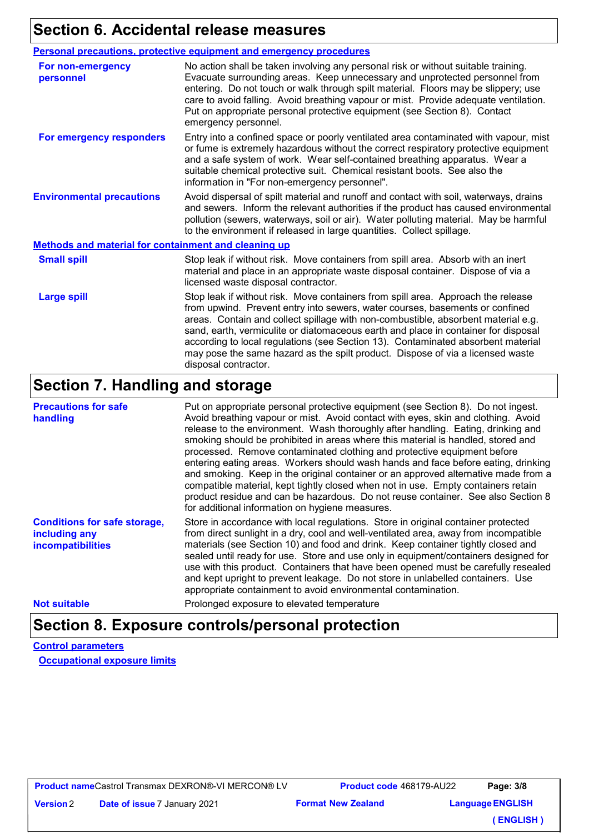# **Section 6. Accidental release measures**

|                                                      | <b>Personal precautions, protective equipment and emergency procedures</b>                                                                                                                                                                                                                                                                                                                                                                                                                                                                |  |
|------------------------------------------------------|-------------------------------------------------------------------------------------------------------------------------------------------------------------------------------------------------------------------------------------------------------------------------------------------------------------------------------------------------------------------------------------------------------------------------------------------------------------------------------------------------------------------------------------------|--|
| For non-emergency<br>personnel                       | No action shall be taken involving any personal risk or without suitable training.<br>Evacuate surrounding areas. Keep unnecessary and unprotected personnel from<br>entering. Do not touch or walk through spilt material. Floors may be slippery; use<br>care to avoid falling. Avoid breathing vapour or mist. Provide adequate ventilation.<br>Put on appropriate personal protective equipment (see Section 8). Contact<br>emergency personnel.                                                                                      |  |
| For emergency responders                             | Entry into a confined space or poorly ventilated area contaminated with vapour, mist<br>or fume is extremely hazardous without the correct respiratory protective equipment<br>and a safe system of work. Wear self-contained breathing apparatus. Wear a<br>suitable chemical protective suit. Chemical resistant boots. See also the<br>information in "For non-emergency personnel".                                                                                                                                                   |  |
| <b>Environmental precautions</b>                     | Avoid dispersal of spilt material and runoff and contact with soil, waterways, drains<br>and sewers. Inform the relevant authorities if the product has caused environmental<br>pollution (sewers, waterways, soil or air). Water polluting material. May be harmful<br>to the environment if released in large quantities. Collect spillage.                                                                                                                                                                                             |  |
| Methods and material for containment and cleaning up |                                                                                                                                                                                                                                                                                                                                                                                                                                                                                                                                           |  |
| <b>Small spill</b>                                   | Stop leak if without risk. Move containers from spill area. Absorb with an inert<br>material and place in an appropriate waste disposal container. Dispose of via a<br>licensed waste disposal contractor.                                                                                                                                                                                                                                                                                                                                |  |
| <b>Large spill</b>                                   | Stop leak if without risk. Move containers from spill area. Approach the release<br>from upwind. Prevent entry into sewers, water courses, basements or confined<br>areas. Contain and collect spillage with non-combustible, absorbent material e.g.<br>sand, earth, vermiculite or diatomaceous earth and place in container for disposal<br>according to local regulations (see Section 13). Contaminated absorbent material<br>may pose the same hazard as the spilt product. Dispose of via a licensed waste<br>disposal contractor. |  |

# **Section 7. Handling and storage**

| <b>Precautions for safe</b><br>handling                                   | Put on appropriate personal protective equipment (see Section 8). Do not ingest.<br>Avoid breathing vapour or mist. Avoid contact with eyes, skin and clothing. Avoid<br>release to the environment. Wash thoroughly after handling. Eating, drinking and<br>smoking should be prohibited in areas where this material is handled, stored and<br>processed. Remove contaminated clothing and protective equipment before<br>entering eating areas. Workers should wash hands and face before eating, drinking<br>and smoking. Keep in the original container or an approved alternative made from a<br>compatible material, kept tightly closed when not in use. Empty containers retain<br>product residue and can be hazardous. Do not reuse container. See also Section 8<br>for additional information on hygiene measures. |
|---------------------------------------------------------------------------|---------------------------------------------------------------------------------------------------------------------------------------------------------------------------------------------------------------------------------------------------------------------------------------------------------------------------------------------------------------------------------------------------------------------------------------------------------------------------------------------------------------------------------------------------------------------------------------------------------------------------------------------------------------------------------------------------------------------------------------------------------------------------------------------------------------------------------|
| <b>Conditions for safe storage,</b><br>including any<br>incompatibilities | Store in accordance with local regulations. Store in original container protected<br>from direct sunlight in a dry, cool and well-ventilated area, away from incompatible<br>materials (see Section 10) and food and drink. Keep container tightly closed and<br>sealed until ready for use. Store and use only in equipment/containers designed for<br>use with this product. Containers that have been opened must be carefully resealed<br>and kept upright to prevent leakage. Do not store in unlabelled containers. Use<br>appropriate containment to avoid environmental contamination.                                                                                                                                                                                                                                  |
| <b>Not suitable</b>                                                       | Prolonged exposure to elevated temperature                                                                                                                                                                                                                                                                                                                                                                                                                                                                                                                                                                                                                                                                                                                                                                                      |

#### **Section 8. Exposure controls/personal protection**

**Control parameters Occupational exposure limits**

**Product name** Castrol Transmax DEXRON®-VI MERCON® LV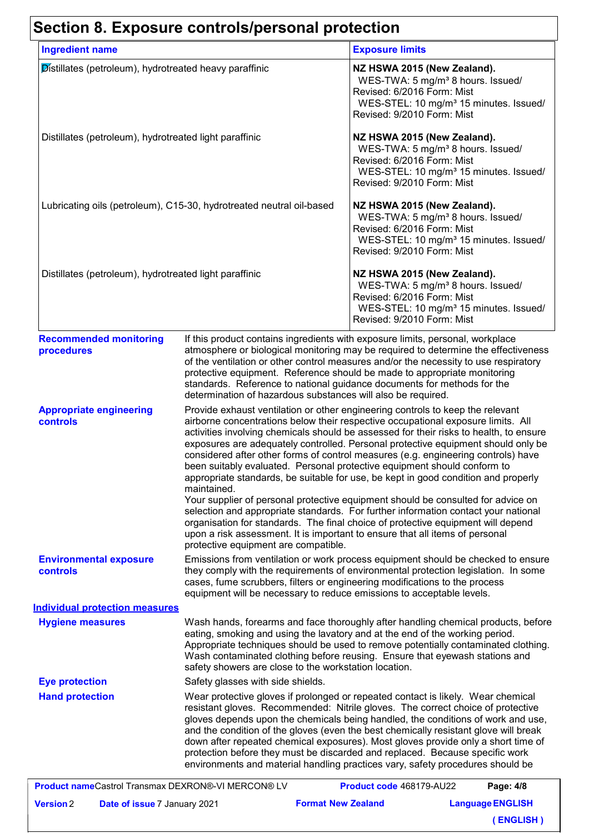# **Section 8. Exposure controls/personal protection**

| <b>Ingredient name</b>                                               |                                                                                                                                                                                                                                                                                                                                                                                                                                                                                                                                                                                                                                                                                                             | <b>Exposure limits</b>                                                                                                                                                                                                                                                                                                                                                                                                                                                                                                                                                                                 |
|----------------------------------------------------------------------|-------------------------------------------------------------------------------------------------------------------------------------------------------------------------------------------------------------------------------------------------------------------------------------------------------------------------------------------------------------------------------------------------------------------------------------------------------------------------------------------------------------------------------------------------------------------------------------------------------------------------------------------------------------------------------------------------------------|--------------------------------------------------------------------------------------------------------------------------------------------------------------------------------------------------------------------------------------------------------------------------------------------------------------------------------------------------------------------------------------------------------------------------------------------------------------------------------------------------------------------------------------------------------------------------------------------------------|
| Distillates (petroleum), hydrotreated heavy paraffinic               |                                                                                                                                                                                                                                                                                                                                                                                                                                                                                                                                                                                                                                                                                                             | NZ HSWA 2015 (New Zealand).<br>WES-TWA: 5 mg/m <sup>3</sup> 8 hours. Issued/<br>Revised: 6/2016 Form: Mist<br>WES-STEL: 10 mg/m <sup>3</sup> 15 minutes. Issued/<br>Revised: 9/2010 Form: Mist                                                                                                                                                                                                                                                                                                                                                                                                         |
| Distillates (petroleum), hydrotreated light paraffinic               |                                                                                                                                                                                                                                                                                                                                                                                                                                                                                                                                                                                                                                                                                                             | NZ HSWA 2015 (New Zealand).<br>WES-TWA: 5 mg/m <sup>3</sup> 8 hours. Issued/<br>Revised: 6/2016 Form: Mist<br>WES-STEL: 10 mg/m <sup>3</sup> 15 minutes. Issued/<br>Revised: 9/2010 Form: Mist                                                                                                                                                                                                                                                                                                                                                                                                         |
| Lubricating oils (petroleum), C15-30, hydrotreated neutral oil-based |                                                                                                                                                                                                                                                                                                                                                                                                                                                                                                                                                                                                                                                                                                             | NZ HSWA 2015 (New Zealand).<br>WES-TWA: 5 mg/m <sup>3</sup> 8 hours. Issued/<br>Revised: 6/2016 Form: Mist<br>WES-STEL: 10 mg/m <sup>3</sup> 15 minutes. Issued/<br>Revised: 9/2010 Form: Mist                                                                                                                                                                                                                                                                                                                                                                                                         |
| Distillates (petroleum), hydrotreated light paraffinic               |                                                                                                                                                                                                                                                                                                                                                                                                                                                                                                                                                                                                                                                                                                             | NZ HSWA 2015 (New Zealand).<br>WES-TWA: 5 mg/m <sup>3</sup> 8 hours. Issued/<br>Revised: 6/2016 Form: Mist<br>WES-STEL: 10 mg/m <sup>3</sup> 15 minutes. Issued/<br>Revised: 9/2010 Form: Mist                                                                                                                                                                                                                                                                                                                                                                                                         |
| <b>Recommended monitoring</b><br>procedures                          | If this product contains ingredients with exposure limits, personal, workplace<br>atmosphere or biological monitoring may be required to determine the effectiveness<br>of the ventilation or other control measures and/or the necessity to use respiratory<br>protective equipment. Reference should be made to appropriate monitoring<br>standards. Reference to national guidance documents for methods for the<br>determination of hazardous substances will also be required.                                                                                                                                                                                                                         |                                                                                                                                                                                                                                                                                                                                                                                                                                                                                                                                                                                                        |
| <b>Appropriate engineering</b><br><b>controls</b>                    | Provide exhaust ventilation or other engineering controls to keep the relevant<br>airborne concentrations below their respective occupational exposure limits. All<br>activities involving chemicals should be assessed for their risks to health, to ensure<br>exposures are adequately controlled. Personal protective equipment should only be<br>considered after other forms of control measures (e.g. engineering controls) have<br>been suitably evaluated. Personal protective equipment should conform to<br>appropriate standards, be suitable for use, be kept in good condition and properly<br>maintained.<br>Your supplier of personal protective equipment should be consulted for advice on |                                                                                                                                                                                                                                                                                                                                                                                                                                                                                                                                                                                                        |
|                                                                      | protective equipment are compatible.                                                                                                                                                                                                                                                                                                                                                                                                                                                                                                                                                                                                                                                                        | selection and appropriate standards. For further information contact your national<br>organisation for standards. The final choice of protective equipment will depend<br>upon a risk assessment. It is important to ensure that all items of personal                                                                                                                                                                                                                                                                                                                                                 |
| <b>Environmental exposure</b><br>controls                            | Emissions from ventilation or work process equipment should be checked to ensure<br>they comply with the requirements of environmental protection legislation. In some<br>cases, fume scrubbers, filters or engineering modifications to the process<br>equipment will be necessary to reduce emissions to acceptable levels.                                                                                                                                                                                                                                                                                                                                                                               |                                                                                                                                                                                                                                                                                                                                                                                                                                                                                                                                                                                                        |
| <b>Individual protection measures</b>                                |                                                                                                                                                                                                                                                                                                                                                                                                                                                                                                                                                                                                                                                                                                             |                                                                                                                                                                                                                                                                                                                                                                                                                                                                                                                                                                                                        |
| <b>Hygiene measures</b>                                              | Wash hands, forearms and face thoroughly after handling chemical products, before<br>eating, smoking and using the lavatory and at the end of the working period.<br>Appropriate techniques should be used to remove potentially contaminated clothing.<br>Wash contaminated clothing before reusing. Ensure that eyewash stations and<br>safety showers are close to the workstation location.                                                                                                                                                                                                                                                                                                             |                                                                                                                                                                                                                                                                                                                                                                                                                                                                                                                                                                                                        |
| <b>Eye protection</b>                                                | Safety glasses with side shields.                                                                                                                                                                                                                                                                                                                                                                                                                                                                                                                                                                                                                                                                           |                                                                                                                                                                                                                                                                                                                                                                                                                                                                                                                                                                                                        |
| <b>Hand protection</b>                                               |                                                                                                                                                                                                                                                                                                                                                                                                                                                                                                                                                                                                                                                                                                             | Wear protective gloves if prolonged or repeated contact is likely. Wear chemical<br>resistant gloves. Recommended: Nitrile gloves. The correct choice of protective<br>gloves depends upon the chemicals being handled, the conditions of work and use,<br>and the condition of the gloves (even the best chemically resistant glove will break<br>down after repeated chemical exposures). Most gloves provide only a short time of<br>protection before they must be discarded and replaced. Because specific work<br>environments and material handling practices vary, safety procedures should be |
| <b>Broduct nameCootrol Transmov DEVBON® VILMEBCON® LV</b>            |                                                                                                                                                                                                                                                                                                                                                                                                                                                                                                                                                                                                                                                                                                             | Draduat ande 460470 ALION<br><b>Dono: 4/0</b>                                                                                                                                                                                                                                                                                                                                                                                                                                                                                                                                                          |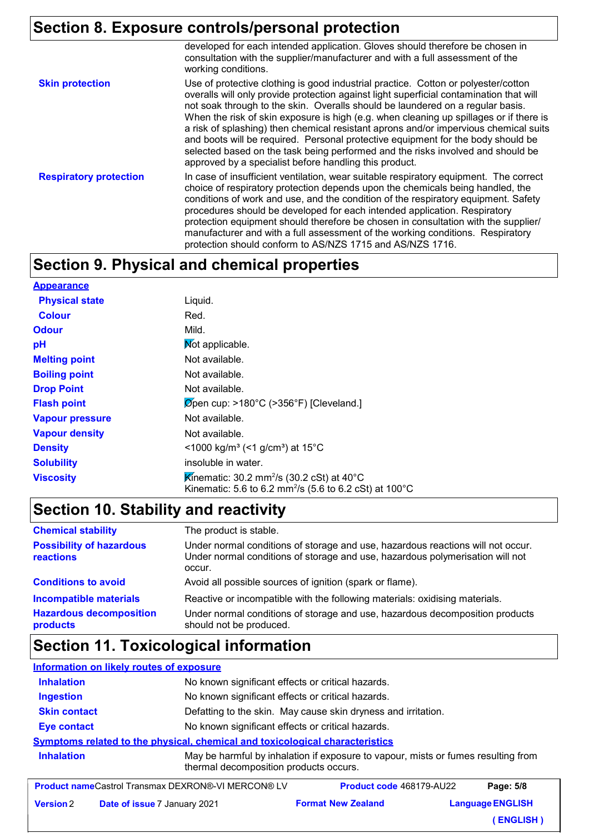# **Section 8. Exposure controls/personal protection**

|                               | developed for each intended application. Gloves should therefore be chosen in<br>consultation with the supplier/manufacturer and with a full assessment of the<br>working conditions.                                                                                                                                                                                                                                                                                                                                                                                                                                                                                              |
|-------------------------------|------------------------------------------------------------------------------------------------------------------------------------------------------------------------------------------------------------------------------------------------------------------------------------------------------------------------------------------------------------------------------------------------------------------------------------------------------------------------------------------------------------------------------------------------------------------------------------------------------------------------------------------------------------------------------------|
| <b>Skin protection</b>        | Use of protective clothing is good industrial practice. Cotton or polyester/cotton<br>overalls will only provide protection against light superficial contamination that will<br>not soak through to the skin. Overalls should be laundered on a regular basis.<br>When the risk of skin exposure is high (e.g. when cleaning up spillages or if there is<br>a risk of splashing) then chemical resistant aprons and/or impervious chemical suits<br>and boots will be required. Personal protective equipment for the body should be<br>selected based on the task being performed and the risks involved and should be<br>approved by a specialist before handling this product. |
| <b>Respiratory protection</b> | In case of insufficient ventilation, wear suitable respiratory equipment. The correct<br>choice of respiratory protection depends upon the chemicals being handled, the<br>conditions of work and use, and the condition of the respiratory equipment. Safety<br>procedures should be developed for each intended application. Respiratory<br>protection equipment should therefore be chosen in consultation with the supplier/<br>manufacturer and with a full assessment of the working conditions. Respiratory<br>protection should conform to AS/NZS 1715 and AS/NZS 1716.                                                                                                    |

# **Section 9. Physical and chemical properties**

| <b>Appearance</b>      |                                                                                                                                                   |
|------------------------|---------------------------------------------------------------------------------------------------------------------------------------------------|
| <b>Physical state</b>  | Liquid.                                                                                                                                           |
| <b>Colour</b>          | Red.                                                                                                                                              |
| <b>Odour</b>           | Mild.                                                                                                                                             |
| pH                     | Mot applicable.                                                                                                                                   |
| <b>Melting point</b>   | Not available.                                                                                                                                    |
| <b>Boiling point</b>   | Not available.                                                                                                                                    |
| <b>Drop Point</b>      | Not available.                                                                                                                                    |
| <b>Flash point</b>     | $\varnothing$ pen cup: >180°C (>356°F) [Cleveland.]                                                                                               |
| <b>Vapour pressure</b> | Not available.                                                                                                                                    |
| <b>Vapour density</b>  | Not available.                                                                                                                                    |
| <b>Density</b>         | <1000 kg/m <sup>3</sup> (<1 g/cm <sup>3</sup> ) at 15 <sup>°</sup> C                                                                              |
| <b>Solubility</b>      | insoluble in water.                                                                                                                               |
| <b>Viscosity</b>       | Kinematic: 30.2 mm <sup>2</sup> /s (30.2 cSt) at 40 $^{\circ}$ C<br>Kinematic: 5.6 to 6.2 mm <sup>2</sup> /s (5.6 to 6.2 cSt) at 100 $^{\circ}$ C |

# **Section 10. Stability and reactivity**

| <b>Chemical stability</b>                                                   | The product is stable.                                                                                                                                                                 |
|-----------------------------------------------------------------------------|----------------------------------------------------------------------------------------------------------------------------------------------------------------------------------------|
| <b>Possibility of hazardous</b><br>reactions                                | Under normal conditions of storage and use, hazardous reactions will not occur.<br>Under normal conditions of storage and use, hazardous polymerisation will not<br>occur.             |
| <b>Conditions to avoid</b>                                                  | Avoid all possible sources of ignition (spark or flame).                                                                                                                               |
| <b>Incompatible materials</b><br><b>Hazardous decomposition</b><br>products | Reactive or incompatible with the following materials: oxidising materials.<br>Under normal conditions of storage and use, hazardous decomposition products<br>should not be produced. |

## **Section 11. Toxicological information**

| <b>Information on likely routes of exposure</b>                              |                                                                                                                             |  |  |  |
|------------------------------------------------------------------------------|-----------------------------------------------------------------------------------------------------------------------------|--|--|--|
| <b>Inhalation</b>                                                            | No known significant effects or critical hazards.                                                                           |  |  |  |
| <b>Ingestion</b>                                                             | No known significant effects or critical hazards.                                                                           |  |  |  |
| <b>Skin contact</b>                                                          | Defatting to the skin. May cause skin dryness and irritation.                                                               |  |  |  |
| <b>Eye contact</b>                                                           | No known significant effects or critical hazards.                                                                           |  |  |  |
| Symptoms related to the physical, chemical and toxicological characteristics |                                                                                                                             |  |  |  |
| <b>Inhalation</b>                                                            | May be harmful by inhalation if exposure to vapour, mists or fumes resulting from<br>thermal decomposition products occurs. |  |  |  |
|                                                                              |                                                                                                                             |  |  |  |

| <b>Product nameCastrol Transmax DEXRON®-VI MERCON® LV</b> |                                     | <b>Product code 468179-AU22</b> | Page: 5/8               |  |
|-----------------------------------------------------------|-------------------------------------|---------------------------------|-------------------------|--|
| <b>Version 2</b>                                          | <b>Date of issue 7 January 2021</b> | <b>Format New Zealand</b>       | <b>Language ENGLISH</b> |  |
|                                                           |                                     |                                 | (ENGLISH)               |  |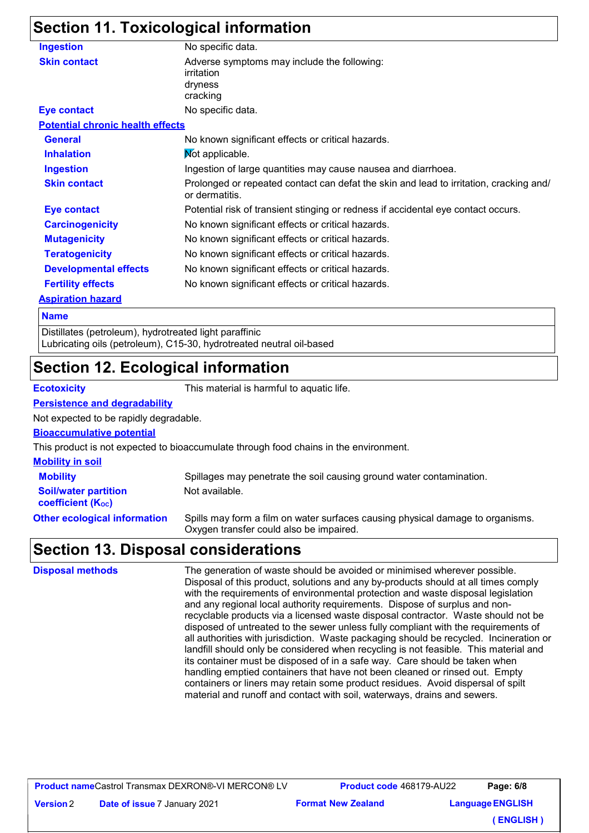## **Section 11. Toxicological information**

| <b>Ingestion</b>                        | No specific data.                                                                                        |
|-----------------------------------------|----------------------------------------------------------------------------------------------------------|
| <b>Skin contact</b>                     | Adverse symptoms may include the following:<br>irritation<br>dryness<br>cracking                         |
| <b>Eye contact</b>                      | No specific data.                                                                                        |
| <b>Potential chronic health effects</b> |                                                                                                          |
| <b>General</b>                          | No known significant effects or critical hazards.                                                        |
| <b>Inhalation</b>                       | Not applicable.                                                                                          |
| <b>Ingestion</b>                        | Ingestion of large quantities may cause nausea and diarrhoea.                                            |
| <b>Skin contact</b>                     | Prolonged or repeated contact can defat the skin and lead to irritation, cracking and/<br>or dermatitis. |
| <b>Eye contact</b>                      | Potential risk of transient stinging or redness if accidental eye contact occurs.                        |
| <b>Carcinogenicity</b>                  | No known significant effects or critical hazards.                                                        |
| <b>Mutagenicity</b>                     | No known significant effects or critical hazards.                                                        |
| <b>Teratogenicity</b>                   | No known significant effects or critical hazards.                                                        |
| <b>Developmental effects</b>            | No known significant effects or critical hazards.                                                        |
| <b>Fertility effects</b>                | No known significant effects or critical hazards.                                                        |
| <b>Aspiration hazard</b>                |                                                                                                          |

#### **Name**

Distillates (petroleum), hydrotreated light paraffinic Lubricating oils (petroleum), C15-30, hydrotreated neutral oil-based

#### **Section 12. Ecological information**

**Version**

**Ecotoxicity** This material is harmful to aquatic life.

#### **Persistence and degradability**

Not expected to be rapidly degradable.

#### **Bioaccumulative potential**

This product is not expected to bioaccumulate through food chains in the environment.

| <b>Mobility in soil</b>                                 |                                                                                                                           |
|---------------------------------------------------------|---------------------------------------------------------------------------------------------------------------------------|
| <b>Mobility</b>                                         | Spillages may penetrate the soil causing ground water contamination.                                                      |
| <b>Soil/water partition</b><br><b>coefficient (Koc)</b> | Not available.                                                                                                            |
| <b>Other ecological information</b>                     | Spills may form a film on water surfaces causing physical damage to organisms.<br>Oxygen transfer could also be impaired. |

#### **Section 13. Disposal considerations**

| <b>Disposal methods</b> | The generation of waste should be avoided or minimised wherever possible.<br>Disposal of this product, solutions and any by-products should at all times comply<br>with the requirements of environmental protection and waste disposal legislation<br>and any regional local authority requirements. Dispose of surplus and non-<br>recyclable products via a licensed waste disposal contractor. Waste should not be<br>disposed of untreated to the sewer unless fully compliant with the requirements of<br>all authorities with jurisdiction. Waste packaging should be recycled. Incineration or<br>landfill should only be considered when recycling is not feasible. This material and<br>its container must be disposed of in a safe way. Care should be taken when<br>handling emptied containers that have not been cleaned or rinsed out. Empty<br>containers or liners may retain some product residues. Avoid dispersal of spilt<br>material and runoff and contact with soil, waterways, drains and sewers. |
|-------------------------|----------------------------------------------------------------------------------------------------------------------------------------------------------------------------------------------------------------------------------------------------------------------------------------------------------------------------------------------------------------------------------------------------------------------------------------------------------------------------------------------------------------------------------------------------------------------------------------------------------------------------------------------------------------------------------------------------------------------------------------------------------------------------------------------------------------------------------------------------------------------------------------------------------------------------------------------------------------------------------------------------------------------------|
|-------------------------|----------------------------------------------------------------------------------------------------------------------------------------------------------------------------------------------------------------------------------------------------------------------------------------------------------------------------------------------------------------------------------------------------------------------------------------------------------------------------------------------------------------------------------------------------------------------------------------------------------------------------------------------------------------------------------------------------------------------------------------------------------------------------------------------------------------------------------------------------------------------------------------------------------------------------------------------------------------------------------------------------------------------------|

**Date of issue 7 January 2021** 

**Format New Zealand Product code** 468179-AU22 **Language ENGLISH Page: 6/8 ( ENGLISH )**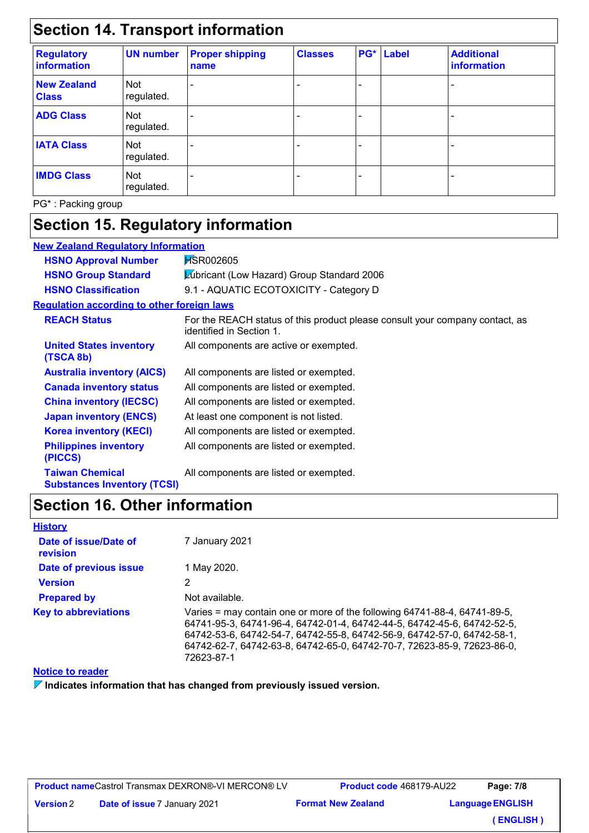# **Section 14. Transport information**

| <b>Regulatory</b><br><b>information</b> | <b>UN number</b>  | <b>Proper shipping</b><br>name | <b>Classes</b> | PG* | <b>Label</b> | <b>Additional</b><br>information |
|-----------------------------------------|-------------------|--------------------------------|----------------|-----|--------------|----------------------------------|
| <b>New Zealand</b><br><b>Class</b>      | Not<br>regulated. |                                |                |     |              |                                  |
| <b>ADG Class</b>                        | Not<br>regulated. |                                |                |     |              |                                  |
| <b>IATA Class</b>                       | Not<br>regulated. |                                |                |     |              |                                  |
| <b>IMDG Class</b>                       | Not<br>regulated. |                                |                |     |              |                                  |

PG\* : Packing group

# **Section 15. Regulatory information**

| <b>New Zealand Regulatory Information</b>                    |                                                                                                          |  |  |  |
|--------------------------------------------------------------|----------------------------------------------------------------------------------------------------------|--|--|--|
| <b>HSNO Approval Number</b>                                  | <b>HSR002605</b>                                                                                         |  |  |  |
| <b>HSNO Group Standard</b>                                   | Lubricant (Low Hazard) Group Standard 2006                                                               |  |  |  |
| <b>HSNO Classification</b>                                   | 9.1 - AQUATIC ECOTOXICITY - Category D                                                                   |  |  |  |
| <b>Requlation according to other foreign laws</b>            |                                                                                                          |  |  |  |
| <b>REACH Status</b>                                          | For the REACH status of this product please consult your company contact, as<br>identified in Section 1. |  |  |  |
| <b>United States inventory</b><br>(TSCA 8b)                  | All components are active or exempted.                                                                   |  |  |  |
| <b>Australia inventory (AICS)</b>                            | All components are listed or exempted.                                                                   |  |  |  |
| <b>Canada inventory status</b>                               | All components are listed or exempted.                                                                   |  |  |  |
| <b>China inventory (IECSC)</b>                               | All components are listed or exempted.                                                                   |  |  |  |
| <b>Japan inventory (ENCS)</b>                                | At least one component is not listed.                                                                    |  |  |  |
| <b>Korea inventory (KECI)</b>                                | All components are listed or exempted.                                                                   |  |  |  |
| <b>Philippines inventory</b><br>(PICCS)                      | All components are listed or exempted.                                                                   |  |  |  |
| <b>Taiwan Chemical</b><br><b>Substances Inventory (TCSI)</b> | All components are listed or exempted.                                                                   |  |  |  |

# **Section 16. Other information**

| <b>History</b>                    |                                                                                                                                                                                                                                                                                                                          |
|-----------------------------------|--------------------------------------------------------------------------------------------------------------------------------------------------------------------------------------------------------------------------------------------------------------------------------------------------------------------------|
| Date of issue/Date of<br>revision | 7 January 2021                                                                                                                                                                                                                                                                                                           |
| Date of previous issue            | 1 May 2020.                                                                                                                                                                                                                                                                                                              |
| <b>Version</b>                    | 2                                                                                                                                                                                                                                                                                                                        |
| <b>Prepared by</b>                | Not available.                                                                                                                                                                                                                                                                                                           |
| <b>Key to abbreviations</b>       | Varies = may contain one or more of the following 64741-88-4, 64741-89-5,<br>64741-95-3, 64741-96-4, 64742-01-4, 64742-44-5, 64742-45-6, 64742-52-5,<br>64742-53-6, 64742-54-7, 64742-55-8, 64742-56-9, 64742-57-0, 64742-58-1,<br>64742-62-7, 64742-63-8, 64742-65-0, 64742-70-7, 72623-85-9, 72623-86-0,<br>72623-87-1 |

#### **Notice to reader**

**Indicates information that has changed from previously issued version.**

| <b>Product name</b> Castrol Transmax DEXRON®-VI MERCON® LV |  |
|------------------------------------------------------------|--|
|                                                            |  |